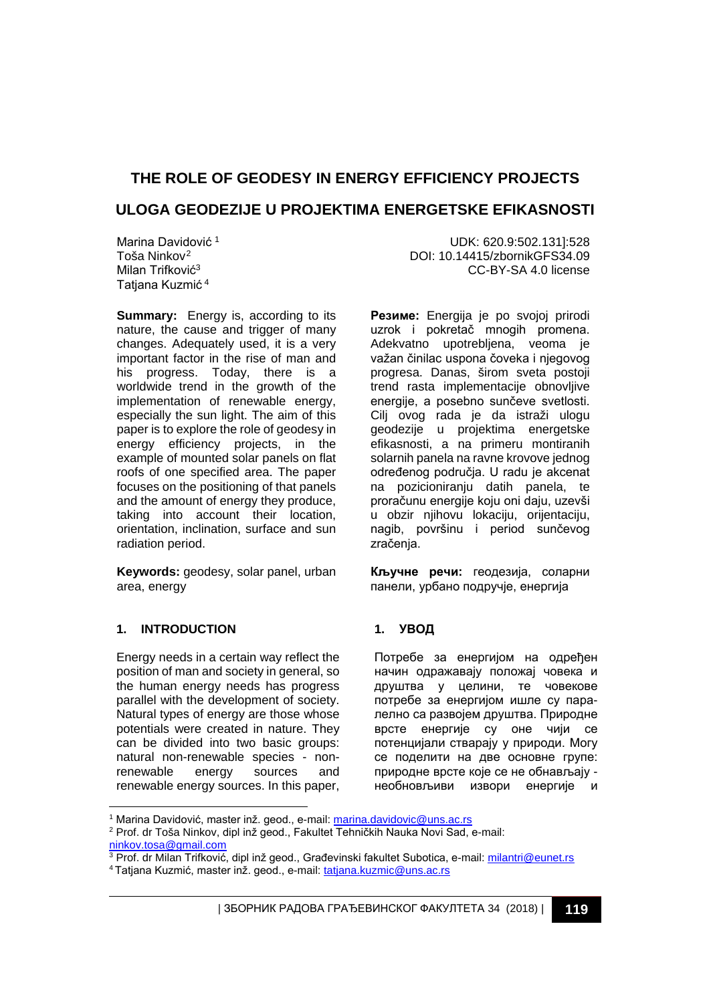# **THE ROLE OF GEODESY IN ENERGY EFFICIENCY PROJECTS ULOGA GEODEZIJE U PROJEKTIMA ENERGETSKE EFIKASNOSTI**

Marina Davidović<sup>[1](#page-0-0)</sup> Toša Ninkov[2](#page-0-1) Milan Trifković<sup>3</sup> Tatiana Kuzmić<sup>4</sup>

**Summary:** Energy is, according to its nature, the cause and trigger of many changes. Adequately used, it is a very important factor in the rise of man and his progress. Today, there is a worldwide trend in the growth of the implementation of renewable energy, especially the sun light. The aim of this paper is to explore the role of geodesy in energy efficiency projects, in the example of mounted solar panels on flat roofs of one specified area. The paper focuses on the positioning of that panels and the amount of energy they produce, taking into account their location, orientation, inclination, surface and sun radiation period.

**Keywords:** geodesy, solar panel, urban area, energy

## **1. INTRODUCTION**

Energy needs in a certain way reflect the position of man and society in general, so the human energy needs has progress parallel with the development of society. Natural types of energy are those whose potentials were created in nature. They can be divided into two basic groups: natural non-renewable species - non-<br>renewable energy sources and energy sources and renewable energy sources. In this paper,

UDK: 620.9:502.131]:528 DOI: 10.14415/zbornikGFS34.09 CC-BY-SA 4.0 license

**Резиме:** Energija je po svojoj prirodi uzrok i pokretač mnogih promena. Adekvatno upotrebliena, veoma je važan činilac uspona čoveka i njegovog progresa. Danas, širom sveta postoji trend rasta implementacije obnovljive energije, a posebno sunčeve svetlosti. Cilj ovog rada je da istraži ulogu geodezije u projektima energetske efikasnosti, a na primeru montiranih solarnih panela na ravne krovove jednog određenog područja. U radu je akcenat na pozicioniranju datih panela, te proračunu energije koju oni daju, uzevši u obzir njihovu lokaciju, orijentaciju, nagib, površinu i period sunčevog zračenja.

**Кључне речи:** геодезија, соларни панели, урбано подручје, енергија

## **1. УВОД**

Потребе за енергијом на одређен начин одражавају положај човека и друштва у целини, те човекове потребе за енергијом ишле су паралелно са развојем друштва. Природне врсте енергије су оне чији се потенцијали стварају у природи. Могу се поделити на две основне групе: природне врсте које се не обнављају необновљиви извори енергије и

<sup>-</sup><sup>1</sup> Marina Davidović, master inž. geod., e-mail: [marina.davidovic@uns.ac.rs](mailto:marina.davidovic@uns.ac.rs)

<span id="page-0-0"></span><sup>2</sup> Prof. dr Toša Ninkov, dipl inž geod., Fakultet Tehničkih Nauka Novi Sad, e-mail: [ninkov.tosa@gmail.com](mailto:ninkov.tosa@gmail.com)

<span id="page-0-1"></span><sup>&</sup>lt;sup>3</sup> Prof. dr Milan Trifković, dipl inž geod., Građevinski fakultet Subotica, e-mail[: milantri@eunet.rs](mailto:milantri@eunet.rs) 4 Tatjana Kuzmić, master inž. geod., e-mail: [tatjana.kuzmic@uns.ac.rs](mailto:tatjana.kuzmic@uns.ac.rs)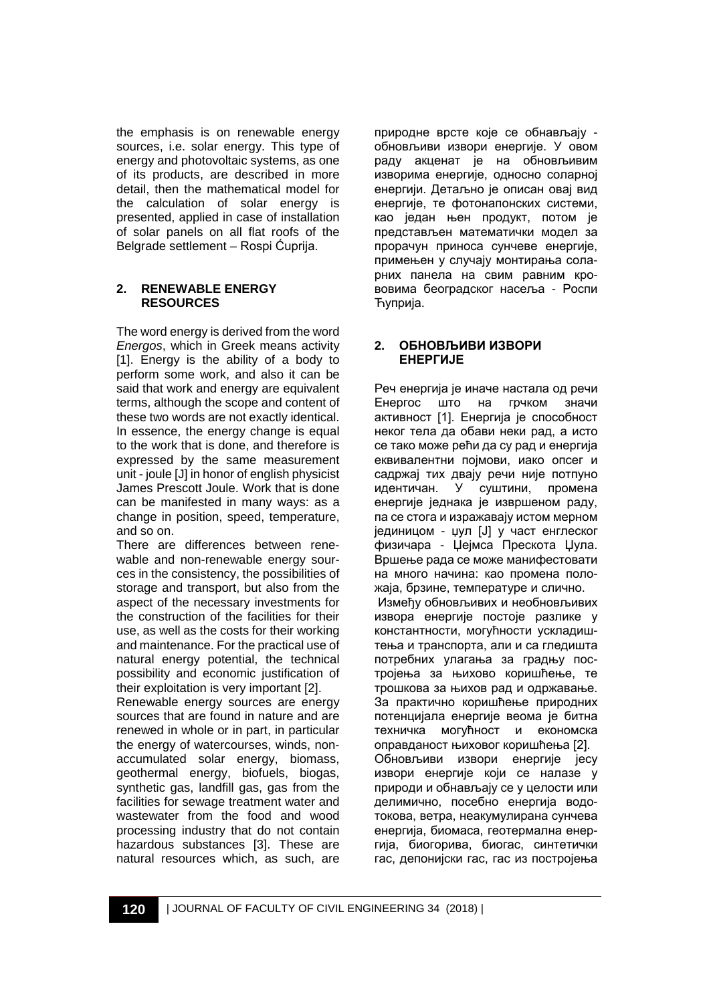the emphasis is on renewable energy sources, i.e. solar energy. This type of energy and photovoltaic systems, as one of its products, are described in more detail, then the mathematical model for the calculation of solar energy is presented, applied in case of installation of solar panels on all flat roofs of the Belgrade settlement – Rospi Ćuprija.

#### **2. RENEWABLE ENERGY RESOURCES**

The word energy is derived from the word *Energos*, which in Greek means activity [1]. Energy is the ability of a body to perform some work, and also it can be said that work and energy are equivalent terms, although the scope and content of these two words are not exactly identical. In essence, the energy change is equal to the work that is done, and therefore is expressed by the same measurement unit - joule [J] in honor of english physicist James Prescott Joule. Work that is done can be manifested in many ways: as a change in position, speed, temperature, and so on.

There are differences between renewable and non-renewable energy sources in the consistency, the possibilities of storage and transport, but also from the aspect of the necessary investments for the construction of the facilities for their use, as well as the costs for their working and maintenance. For the practical use of natural energy potential, the technical possibility and economic justification of their exploitation is very important [2].

Renewable energy sources are energy sources that are found in nature and are renewed in whole or in part, in particular the energy of watercourses, winds, nonaccumulated solar energy, biomass, geothermal energy, biofuels, biogas, synthetic gas, landfill gas, gas from the facilities for sewage treatment water and wastewater from the food and wood processing industry that do not contain hazardous substances [3]. These are natural resources which, as such, are природне врсте које се обнављају обновљиви извори енергије. У овом раду акценат је на обновљивим изворима енергије, односно соларној енергији. Детаљно је описан овај вид енергије, те фотонапонских системи, као један њен продукт, потом је представљен математички модел за прорачун приноса сунчеве енергије, примењен у случају монтирања соларних панела на свим равним крововима београдског насеља - Роспи Ћуприја.

#### **2. ОБНОВЉИВИ ИЗВОРИ ЕНЕРГИЈЕ**

Реч енергија је иначе настала од речи Енергос што на грчком значи активност [1]. Енергија је способност неког тела да обави неки рад, а исто се тако може рећи да су рад и енергија еквивалентни појмови, иако опсег и садржај тих двају речи није потпуно идентичан. У суштини, промена енергије једнака је извршеном раду, па се стога и изражавају истом мерном јединицом - џул [Ј] у част енглеског физичара - Џејмса Прескота Џула. Вршење рада се може манифестовати на много начина: као промена положаја, брзине, температуре и слично.

Између обновљивих и необновљивих извора енергије постоје разлике у константности, могућности ускладиштења и транспорта, али и са гледишта потребних улагања за градњу постројења за њихово коришћење, те трошкова за њихов рад и одржавање. За практично коришћење природних потенцијала енергије веома је битна техничка могућност и економска оправданост њиховог коришћења [2]. Обновљиви извори енергије јесу извори енергије који се налазе у природи и обнављају се у целости или делимично, посебно енергија водотокова, ветра, неакумулирана сунчева енергија, биомаса, геотермална енергија, биогорива, биогас, синтетички гас, депонијски гас, гас из постројења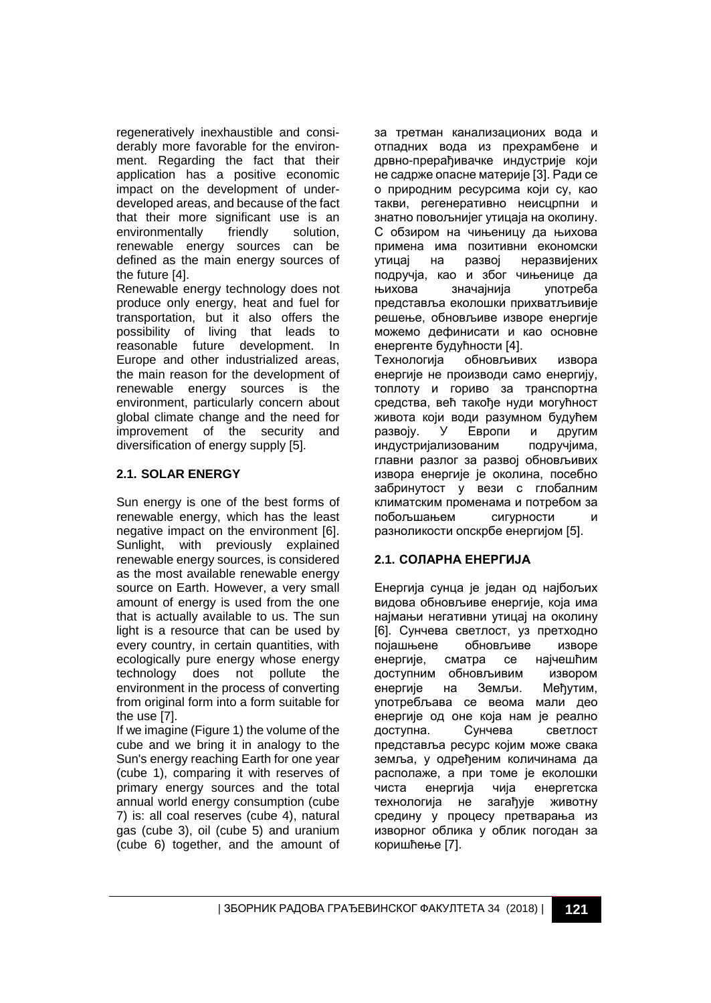regeneratively inexhaustible and considerably more favorable for the environment. Regarding the fact that their application has a positive economic impact on the development of underdeveloped areas, and because of the fact that their more significant use is an<br>environmentally friendly solution, environmentally friendly solution, renewable energy sources can be defined as the main energy sources of the future [4].

Renewable energy technology does not produce only energy, heat and fuel for transportation, but it also offers the possibility of living that leads to reasonable future development. In Europe and other industrialized areas, the main reason for the development of renewable energy sources is the environment, particularly concern about global climate change and the need for improvement of the security and diversification of energy supply [5].

## **2.1. SOLAR ENERGY**

Sun energy is one of the best forms of renewable energy, which has the least negative impact on the environment [6]. Sunlight, with previously explained renewable energy sources, is considered as the most available renewable energy source on Earth. However, a very small amount of energy is used from the one that is actually available to us. The sun light is a resource that can be used by every country, in certain quantities, with ecologically pure energy whose energy technology does not pollute the environment in the process of converting from original form into a form suitable for the use [7].

If we imagine (Figure 1) the volume of the cube and we bring it in analogy to the Sun's energy reaching Earth for one year (cube 1), comparing it with reserves of primary energy sources and the total annual world energy consumption (cube 7) is: all coal reserves (cube 4), natural gas (cube 3), oil (cube 5) and uranium (cube 6) together, and the amount of

за третман канализационих вода и отпадних вода из прехрамбене и дрвно-прерађивачке индустрије који не садрже опасне материје [3]. Ради се о природним ресурсима који су, као такви, регенеративно неисцрпни и знатно повољнијег утицаја на околину. С обзиром на чињеницу да њихова примена има позитивни економски<br>утицај на развој неразвијених неразвијених подручја, као и због чињенице да њихова значајнија употреба представља еколошки прихватљивије решење, обновљиве изворе енергије можемо дефинисати и као основне енергенте будућности [4]. Технологија обновљивих извора енергије не производи само енергију, топлоту и гориво за транспортна средства, већ такође нуди могућност живота који води разумном будућем развоју. У Европи и другим<br>индустријализованим подручјима, индустријализованим главни разлог за развој обновљивих извора енергије је околина, посебно забринутост у вези с глобалним климатским променама и потребом за побољшањем сигурности и разноликости опскрбе енергијом [5].

## **2.1. СОЛАРНА ЕНЕРГИЈА**

Енергија сунца је један од најбољих видова обновљиве енергије, која има најмањи негативни утицај на околину [6]. Сунчева светлост, уз претходно појашњене обновљиве изворе енергије, сматра се најчешћим доступним обновљивим извором енергије на Земљи. Међутим, употребљава се веома мали део енергије од оне која нам је реално доступна. Сунчева светлост представља ресурс којим може свака земља, у одређеним количинама да располаже, а при томе је еколошки чиста енергија чија енергетска технологија не загађује животну средину у процесу претварања из изворног облика у облик погодан за коришћење [7].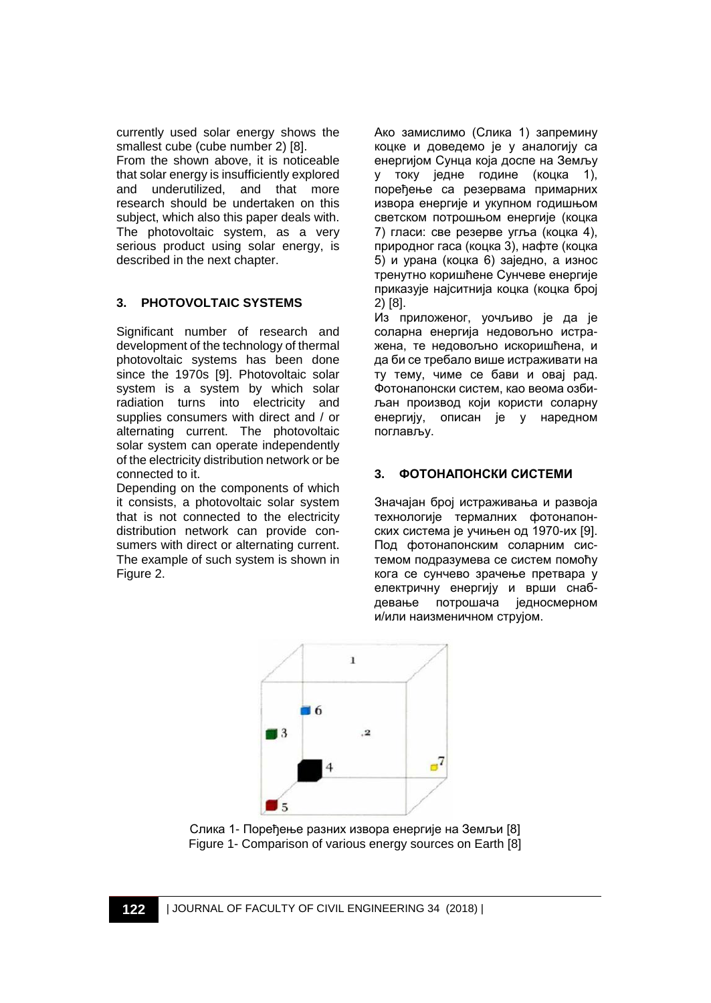currently used solar energy shows the smallest cube (cube number 2) [8].

From the shown above, it is noticeable that solar energy is insufficiently explored<br>and underutilized, and that more and underutilized, and that more research should be undertaken on this subject, which also this paper deals with. The photovoltaic system, as a very serious product using solar energy, is described in the next chapter.

## **3. PHOTOVOLTAIC SYSTEMS**

Significant number of research and development of the technology of thermal photovoltaic systems has been done since the 1970s [9]. Photovoltaic solar system is a system by which solar radiation turns into electricity and supplies consumers with direct and / or alternating current. The photovoltaic solar system can operate independently of the electricity distribution network or be connected to it.

Depending on the components of which it consists, a photovoltaic solar system that is not connected to the electricity distribution network can provide consumers with direct or alternating current. The example of such system is shown in Figure 2.

Ако замислимо (Слика 1) запремину коцке и доведемо је у аналогију са енергијом Сунца која доспе на Земљу току једне године (коцка 1), поређење са резервама примарних извора енергије и укупном годишњом светском потрошњом енергије (коцка 7) гласи: све резерве угља (коцка 4), природног гаса (коцка 3), нафте (коцка 5) и урана (коцка 6) заједно, a износ тренутно коришћене Сунчеве енергије приказује најситнија коцка (коцка број 2) [8].

Из приложеног, уочљиво је да је соларна енергија недовољно истражена, те недовољно искоришћена, и да би се требало више истраживати на ту тему, чиме се бави и овај рад. Фотонапонски систем, као веома озбиљан производ који користи соларну енергију, описан је у наредном поглављу.

# **3. ФОТОНАПОНСКИ СИСТЕМИ**

Значајан број истраживања и развоја технологије термалних фотонапонских система је учињен од 1970-их [9]. Под фотонапонским соларним системом подразумева се систем помоћу кога се сунчево зрачење претвара у електричну енергију и врши снабдевање потрошача једносмерном и/или наизменичном струјом.



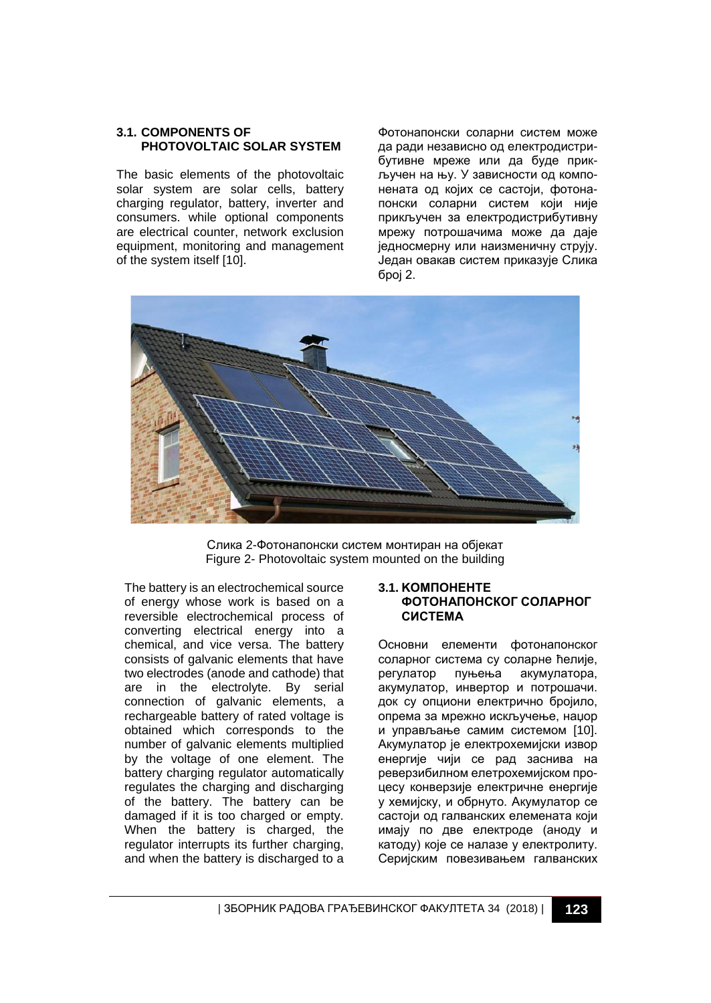#### **3.1. COMPONENTS OF PHOTOVOLTAIC SOLAR SYSTEM**

The basic elements of the photovoltaic solar system are solar cells, battery charging regulator, battery, inverter and consumers. while optional components are electrical counter, network exclusion equipment, monitoring and management of the system itself [10].

Фотонапонски соларни систем може да ради независно од електродистрибутивне мреже или да буде прикључен на њу. У зависности од компонената од којих се састоји, фотонапонски соларни систем који није прикључен за електродистрибутивну мрежу потрошачима може да даје једносмерну или наизменичну струју. Један овакав систем приказује Слика број 2.



Слика 2-Фотонапонски систем монтиран на објекат Figure 2- Photovoltaic system mounted on the building

The battery is an electrochemical source of energy whose work is based on a reversible electrochemical process of converting electrical energy into a chemical, and vice versa. The battery consists of galvanic elements that have two electrodes (anode and cathode) that are in the electrolyte. By serial connection of galvanic elements, a rechargeable battery of rated voltage is obtained which corresponds to the number of galvanic elements multiplied by the voltage of one element. The battery charging regulator automatically regulates the charging and discharging of the battery. The battery can be damaged if it is too charged or empty. When the battery is charged, the regulator interrupts its further charging, and when the battery is discharged to a

#### **3.1. KOМПОНЕНТЕ ФОТОНАПОНСКОГ СОЛАРНОГ СИСТЕМА**

Основни елементи фотонапонског соларног система су соларне ћелије, регулатор пуњења акумулатора, акумулатор, инвертор и потрошачи. док су опциони електрично бројило, опрема за мрежно искључење, наџор и управљање самим системом [10]. Акумулатор је електрохемијски извор енергије чији се рад заснива на реверзибилном елетрохемијском процесу конверзије електричне енергије у хемијску, и обрнуто. Акумулатор се састоји од галванских елемената који имају по две електроде (аноду и катоду) које се налазе у електролиту. Серијским повезивањем галванских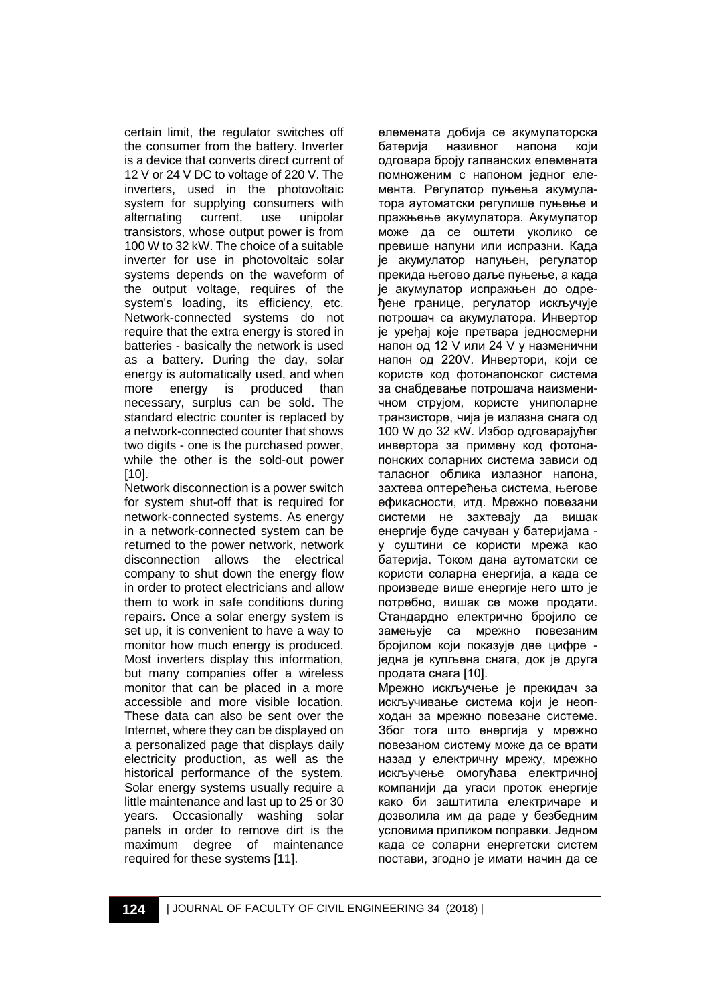certain limit, the regulator switches off the consumer from the battery. Inverter is a device that converts direct current of 12 V or 24 V DC to voltage of 220 V. The inverters, used in the photovoltaic system for supplying consumers with alternating current, use unipolar transistors, whose output power is from 100 W to 32 kW. The choice of a suitable inverter for use in photovoltaic solar systems depends on the waveform of the output voltage, requires of the system's loading, its efficiency, etc. Network-connected systems do not require that the extra energy is stored in batteries - basically the network is used as a battery. During the day, solar energy is automatically used, and when more energy is produced than necessary, surplus can be sold. The standard electric counter is replaced by a network-connected counter that shows two digits - one is the purchased power, while the other is the sold-out power [10].

Network disconnection is a power switch for system shut-off that is required for network-connected systems. As energy in a network-connected system can be returned to the power network, network disconnection allows the electrical company to shut down the energy flow in order to protect electricians and allow them to work in safe conditions during repairs. Once a solar energy system is set up, it is convenient to have a way to monitor how much energy is produced. Most inverters display this information, but many companies offer a wireless monitor that can be placed in a more accessible and more visible location. These data can also be sent over the Internet, where they can be displayed on a personalized page that displays daily electricity production, as well as the historical performance of the system. Solar energy systems usually require a little maintenance and last up to 25 or 30 years. Occasionally washing solar panels in order to remove dirt is the maximum degree of maintenance required for these systems [11].

елемената добија се акумулаторска батерија називног напона који одговара броју галванских елемената помноженим с напоном једног елемента. Регулатор пуњења акумулатора аутоматски регулише пуњење и пражњење акумулатора. Акумулатор може да се оштети уколико се превише напуни или испразни. Када је акумулатор напуњен, регулатор прекида његово даље пуњење, а када је акумулатор испражњен до одређене границе, регулатор искључује потрошач са акумулатора. Инвертор је уређај које претвара једносмерни напон од 12 V или 24 V у назменични напон од 220V. Инвертори, који се користе код фотонапонског система за снабдевање потрошача наизменичном струјом, користе униполарне транзисторе, чија је излазна снага од 100 W до 32 кW. Избор одговарајућег инвертора за примену код фотонапонских соларних система зависи од таласног облика излазног напона, захтева оптерећења система, његове ефикасности, итд. Мрежно повезани системи не захтевају да вишак енергије буде сачуван у батеријама у суштини се користи мрежа као батерија. Током дана аутоматски се користи соларна енергија, а када се произведе више енергије него што је потребно, вишак се може продати. Стандардно електрично бројило се замењује са мрежно повезаним бројилом који показује две цифре једна је купљена снага, док је друга продата снага [10].

Мрежно искључење је прекидач за искључивање система који је неопходан за мрежно повезане системе. Због тога што енергија у мрежно повезаном систему може да се врати назад у електричну мрежу, мрежно искључење омогућава електричној компанији да угаси проток енергије како би заштитила електричаре и дозволила им да раде у безбедним условима приликом поправки. Једном када се соларни енергетски систем постави, згодно је имати начин да се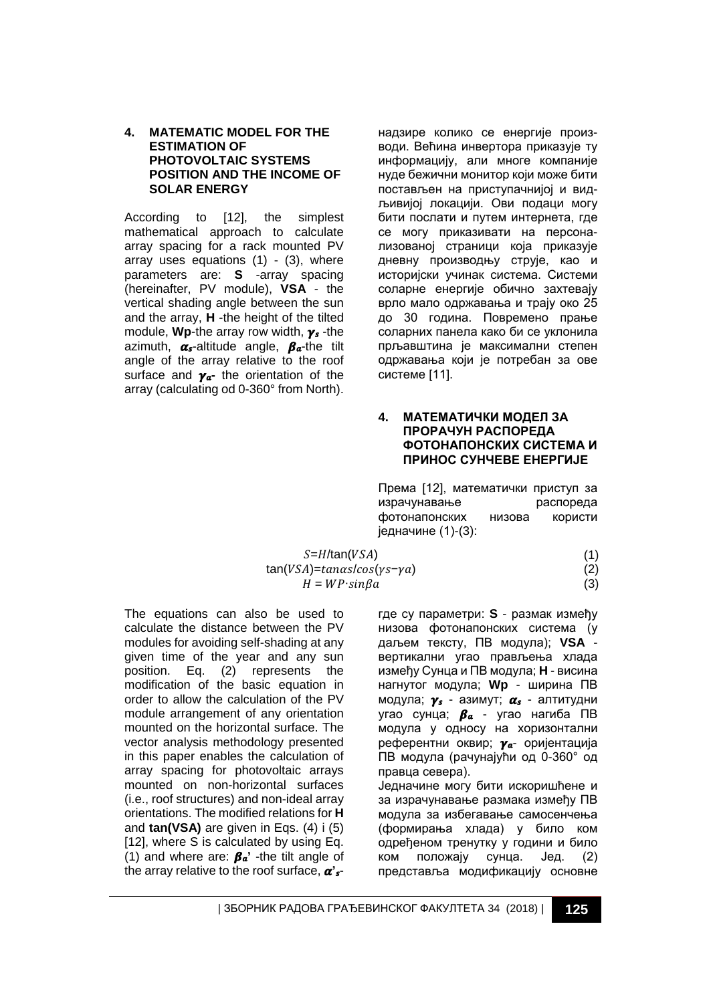#### **4. MATEMATIC MODEL FOR THE ESTIMATION OF PHOTOVOLTAIC SYSTEMS POSITION AND THE INCOME OF SOLAR ENERGY**

According to [12], the simplest mathematical approach to calculate array spacing for a rack mounted PV array uses equations  $(1)$  -  $(3)$ , where parameters are: **S** -array spacing (hereinafter, PV module), **VSA** - the vertical shading angle between the sun and the array, **H** -the height of the tilted module, **Wp**-the array row width,  $\gamma_s$ -the azimuth,  $\alpha_s$ -altitude angle,  $\beta_a$ -the tilt angle of the array relative to the roof surface and  $\gamma_a$ - the orientation of the array (calculating od 0-360° from North). надзире колико се енергије производи. Већина инвертора приказује ту информацију, али многе компаније нуде бежични монитор који може бити постављен на приступачнијој и видљивијој локацији. Ови подаци могу бити послати и путем интернета, где се могу приказивати на персонализованој страници која приказује дневну производњу струје, као и историјски учинак система. Системи соларне енергије обично захтевају врло мало одржавања и трају око 25 до 30 година. Повремено прање соларних панела како би се уклонила прљавштина је максимални степен одржавања који је потребан за ове системе [11].

#### **4. МАТЕМАТИЧКИ МОДЕЛ ЗА ПРОРАЧУН РАСПОРЕДА ФОТОНАПОНСКИХ СИСТЕМА И ПРИНОС СУНЧЕВЕ ЕНЕРГИЈЕ**

Према [12], математички приступ за<br>израчунавање израспореда израчунавање фотонапонских низова користи једначине (1)-(3):

 $S=H/tan(VSA)$  $tan(VSA) = tan\alpha s / cos(ys - \gamma a)$  $H = WP \cdot \sin\beta a$  (3)

(2)

(1)

The equations can also be used to calculate the distance between the PV modules for avoiding self-shading at any given time of the year and any sun<br>position. Eq. (2) represents the position. Eq. (2) represents the modification of the basic equation in order to allow the calculation of the PV module arrangement of any orientation mounted on the horizontal surface. The vector analysis methodology presented in this paper enables the calculation of array spacing for photovoltaic arrays mounted on non-horizontal surfaces (i.e., roof structures) and non-ideal array orientations. The modified relations for **H** and **tan(VSA)** are given in Eqs. (4) i (5) [12], where S is calculated by using Eq. (1) and where are:  $\beta_a$ <sup>'</sup> -the tilt angle of the array relative to the roof surface,  $\alpha'_{s}$ 

где су параметри: **S** - размак између низова фотонапонских система (у даљем тексту, ПВ модула); **VSA** вертикални угао прављења хлада између Сунца и ПВ модула; **H** - висина нагнутог модула; **Wp** - ширина ПВ модула;  $\gamma_s$  - азимут;  $\alpha_s$  - алтитудни угао сунца;  $\beta_a$  - угао нагиба ПВ модула у односу на хоризонтални референтни оквир;  $\gamma_a$ - оријентација ПВ модула (рачунајући од 0-360° од правца севера).

Једначине могу бити искоришћене и за израчунавање размака између ПВ модула за избегавање самосенчења (формирања хлада) у било ком одређеном тренутку у години и било ком положају сунца. Јед. (2) представља модификацију основне

| ЗБОРНИК РАДОВА ГРАЂЕВИНСКОГ ФАКУЛТЕТА 34 (2018) | **125**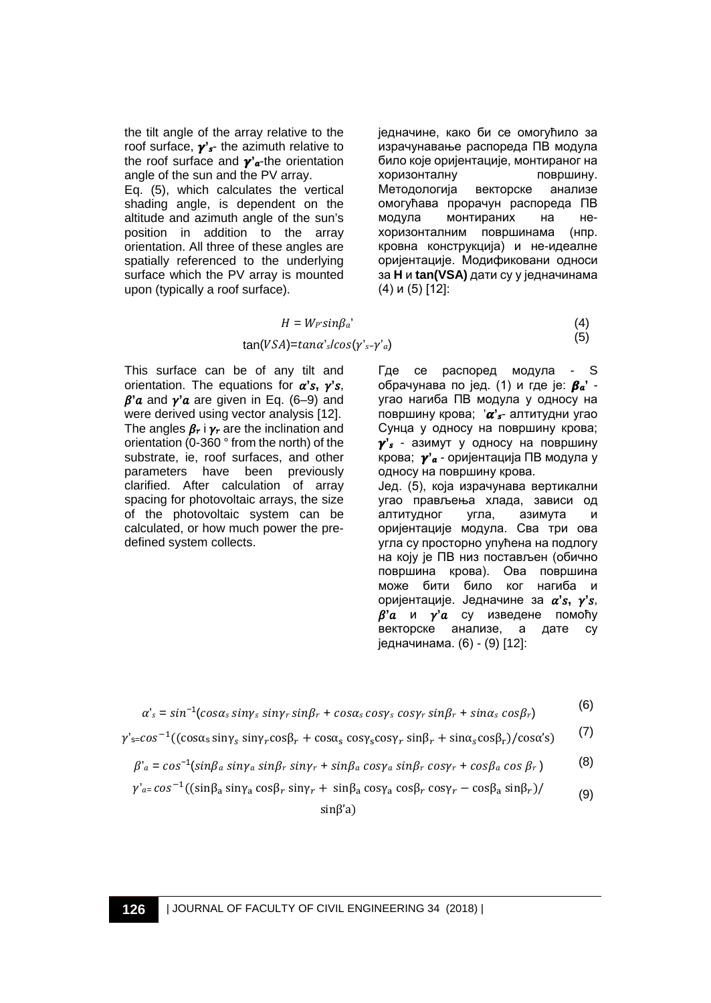the tilt angle of the array relative to the roof surface,  $\mathbf{y}'_{s}$ - the azimuth relative to the roof surface and  $\gamma'_{\alpha}$ -the orientation angle of the sun and the PV array.

Eq. (5), which calculates the vertical shading angle, is dependent on the altitude and azimuth angle of the sun's position in addition to the array orientation. All three of these angles are spatially referenced to the underlying surface which the PV array is mounted upon (typically a roof surface).

једначине, како би се омогућило за израчунавање распореда ПВ модула било које оријентације, монтираног на хоризонталну површину. Методологија векторске анализе омогућава прорачун распореда ПВ модула монтираних на нехоризонталним површинама (нпр. кровна конструкција) и не-идеалне оријентације. Модификовани односи за **H** и **tan(VSA)** дати су у једначинама (4) и (5) [12]:

$$
H = W_{F} \sin \beta_{a'}
$$
\n
$$
\tan(VSA) = \tan \alpha'_{s} / \cos(\gamma'_{s} - \gamma'_{a})
$$
\n
$$
\tag{5}
$$

This surface can be of any tilt and orientation. The equations for  $\alpha$ 's,  $\gamma$ 's,  $\beta$ ' a and  $\gamma$ ' a are given in Eq. (6–9) and were derived using vector analysis [12]. The angles  $\beta_r$  i  $\gamma_r$  are the inclination and orientation (0-360 ° from the north) of the substrate, ie, roof surfaces, and other parameters have been previously clarified. After calculation of array spacing for photovoltaic arrays, the size of the photovoltaic system can be calculated, or how much power the predefined system collects.

Где се распоред модула - S обрачунава по јед. (1) и где је:  $\beta_a$ <sup>'</sup> угао нагиба ПВ модула у односу на површину крова; ' $\alpha'$ <sub>s</sub>- алтитудни угао Сунца у односу на површину крова;  $\gamma$ 's - азимут у односу на површину крова; **'** - оријентација ПВ модула у односу на површину крова. Јед. (5), која израчунава вертикални угао прављења хлада, зависи од<br>алтитудног угла, азимута и алтитудног угла, азимута и оријентације модула. Сва три ова угла су просторно упућена на подлогу на коју је ПВ низ постављен (обично површина крова). Ова површина може бити било ког нагиба и оријентације. Једначине за  $\alpha$ 's,  $\gamma$ 's,  $\beta$ ' и  $\gamma$ ' и су изведене помоћу векторске анализе, а дате су једначинама. (6) - (9) [12]:

$$
\alpha'_{s} = \sin^{-1}(\cos\alpha_{s}\sin\gamma_{s}\sin\gamma_{r}\sin\beta_{r} + \cos\alpha_{s}\cos\gamma_{s}\cos\gamma_{r}\sin\beta_{r} + \sin\alpha_{s}\cos\beta_{r})
$$
(6)

$$
\gamma'_{s=cos^{-1}((cos\alpha_s sin\gamma_s sin\gamma_r cos\beta_r + cos\alpha_s cos\gamma_s cos\gamma_r sin\beta_r + sin\alpha_s cos\beta_r)/cos\alpha's)
$$
 (7)

$$
\beta'_{a} = \cos^{-1}(\sin\beta_{a} \sin\gamma_{a} \sin\beta_{r} \sin\gamma_{r} + \sin\beta_{a} \cos\gamma_{a} \sin\beta_{r} \cos\gamma_{r} + \cos\beta_{a} \cos\beta_{r})
$$
 (8)

$$
\gamma'_{\alpha=}\cos^{-1}((\sin\beta_{\alpha}\sin\gamma_{\alpha}\cos\beta_{r}\sin\gamma_{r}+\sin\beta_{\alpha}\cos\gamma_{\alpha}\cos\beta_{r}\cos\gamma_{r}-\cos\beta_{\alpha}\sin\beta_{r})/ \tag{9}
$$

sinβ'a)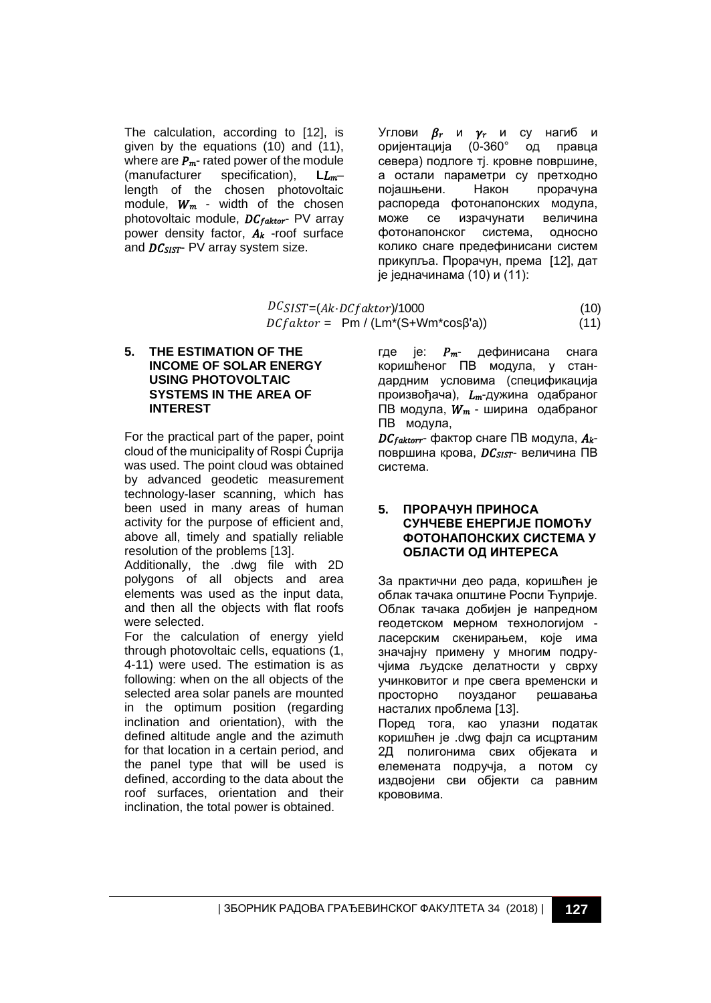The calculation, according to [12], is given by the equations (10) and (11), where are  $P_m$ -rated power of the module<br>(manufacturer specification).  $L_{m-1}$ specification), length of the chosen photovoltaic module,  $W_m$  - width of the chosen photovoltaic module,  $DC_{faktor}$ - PV array power density factor,  $A_k$  -roof surface and  $DC<sub>SIST</sub>$ - PV array system size.

Углови  $\beta_r$  и  $\gamma_r$  и су нагиб и<br>оријентација (0-360° од правца оријентација (0-360° севера) подлоге тј. кровне површине, а остали параметри су претходно појашњени. Након прорачуна распореда фотонапонских модула, може се израчунати величина фотонапонског система, односно колико снаге предефинисани систем прикупља. Прорачун, према [12], дат је једначинама (10) и (11):

 $DCSIST = (Ak \cdot DCfaktor)/1000$  (10)<br> $DCfaktor = PM / (Lm*(S+Wm*cos\beta'a))$  (11)  $DCfaktor = Pm / (Lm*(S+Wm*cosβ'a))$ 

#### **5. THE ESTIMATION OF THE INCOME OF SOLAR ENERGY USING PHOTOVOLTAIC SYSTEMS IN THE AREA OF INTEREST**

For the practical part of the paper, point cloud of the municipality of Rospi Ćuprija was used. The point cloud was obtained by advanced geodetic measurement technology-laser scanning, which has been used in many areas of human activity for the purpose of efficient and, above all, timely and spatially reliable resolution of the problems [13].

Additionally, the .dwg file with 2D polygons of all objects and area elements was used as the input data, and then all the objects with flat roofs were selected.

For the calculation of energy yield through photovoltaic cells, equations (1, 4-11) were used. The estimation is as following: when on the all objects of the selected area solar panels are mounted in the optimum position (regarding inclination and orientation), with the defined altitude angle and the azimuth for that location in a certain period, and the panel type that will be used is defined, according to the data about the roof surfaces, orientation and their inclination, the total power is obtained.

где је:  $P_{m}$ - дефинисана снага коришћеног ПВ модула, у стандардним условима (спецификација произвођача),  $L_m$ -дужина одабраног ПВ модула,  $W_m$  - ширина одабраног ПВ модула,

 $DC$  *faktorr* - фактор снаге ПВ модула,  $A_k$ површина крова, *DC<sub>SIST</sub>*- величина ПВ система.

#### **5. ПРОРАЧУН ПРИНОСА СУНЧЕВЕ ЕНЕРГИЈЕ ПОМОЋУ ФОТОНАПОНСКИХ СИСТЕМА У ОБЛАСТИ ОД ИНТЕРЕСА**

За практични део рада, коришћен је облак тачака општине Роспи Ћуприје. Облак тачака добијен је напредном геодетском мерном технологијом ласерским скенирањем, које има значајну примену у многим подручјима људске делатности у сврху учинковитог и пре свега временски и просторно поузданог решавања насталих проблема [13]. Поред тога, као улазни податак коришћен је .dwg фајл са исцртаним 2Д полигонима свих објеката и елемената подручја, а потом су издвојени сви објекти са равним крововима.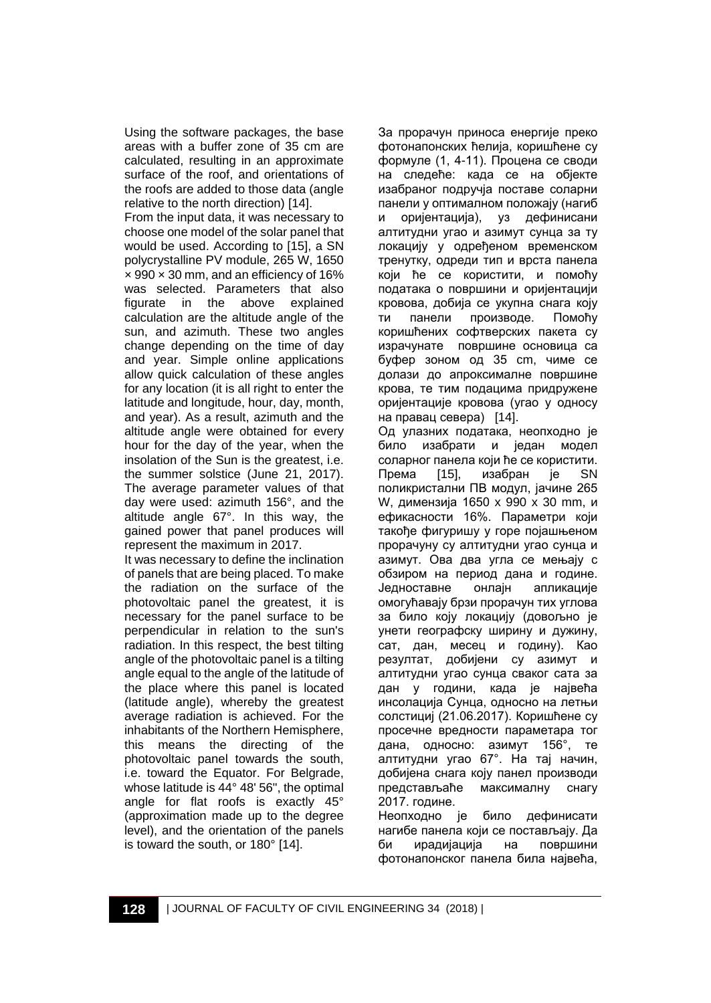Using the software packages, the base areas with a buffer zone of 35 cm are calculated, resulting in an approximate surface of the roof, and orientations of the roofs are added to those data (angle relative to the north direction) [14].

From the input data, it was necessary to choose one model of the solar panel that would be used. According to [15], a SN polycrystalline PV module, 265 W, 1650  $\times$  990  $\times$  30 mm, and an efficiency of 16% was selected. Parameters that also figurate in the above explained calculation are the altitude angle of the sun, and azimuth. These two angles change depending on the time of day and year. Simple online applications allow quick calculation of these angles for any location (it is all right to enter the latitude and longitude, hour, day, month, and year). As a result, azimuth and the altitude angle were obtained for every hour for the day of the year, when the insolation of the Sun is the greatest, i.e. the summer solstice (June 21, 2017). The average parameter values of that day were used: azimuth 156°, and the altitude angle 67°. In this way, the gained power that panel produces will represent the maximum in 2017.

It was necessary to define the inclination of panels that are being placed. To make the radiation on the surface of the photovoltaic panel the greatest, it is necessary for the panel surface to be perpendicular in relation to the sun's radiation. In this respect, the best tilting angle of the photovoltaic panel is a tilting angle equal to the angle of the latitude of the place where this panel is located (latitude angle), whereby the greatest average radiation is achieved. For the inhabitants of the Northern Hemisphere, this means the directing of the photovoltaic panel towards the south, i.e. toward the Equator. For Belgrade, whose latitude is 44° 48' 56", the optimal angle for flat roofs is exactly 45° (approximation made up to the degree level), and the orientation of the panels is toward the south, or 180° [14].

За прорачун приноса енергије преко фотонапонских ћелија, коришћене су формуле (1, 4-11). Процена се своди на следеће: када се на објекте изабраног подручја поставе соларни панели у оптималном положају (нагиб и оријентација), уз дефинисани алтитудни угао и азимут сунца за ту локацију у одређеном временском тренутку, одреди тип и врста панела који ће се користити, и помоћу података о површини и оријентацији кровова, добија се укупна снага коју ти панели производе. Помоћу коришћених софтверских пакета су израчунате површине основица са буфер зоном од 35 cm, чиме се долази до апроксималне површине крова, те тим подацима придружене оријентације кровова (угао у односу на правац севера) [14].

Од улазних података, неопходно је било изабрати и један модел соларног панела који ће се користити. Према [15], изабран је SN поликристални ПВ модул, јачине 265 W, димензија 1650 x 990 x 30 mm, и ефикасности 16%. Параметри који такође фигуришу у горе појашњеном прорачуну су алтитудни угао сунца и азимут. Ова два угла се мењају с обзиром на период дана и године. Једноставне онлајн апликације омогућавају брзи прорачун тих углова за било коју локацију (довољно је унети географску ширину и дужину, сат, дан, месец и годину). Као резултат, добијени су азимут и алтитудни угао сунца сваког сата за дан у години, када је највећа инсолација Сунца, односно на летњи солстициј (21.06.2017). Коришћене су просечне вредности параметара тог дана, односно: азимут 156°, те алтитудни угао 67°. На тај начин, добијена снага коју панел производи представљаће максималну снагу 2017. године.

Неопходно је било дефинисати нагибе панела који се постављају. Да би ирадијација на површини фотонапонског панела била највећа,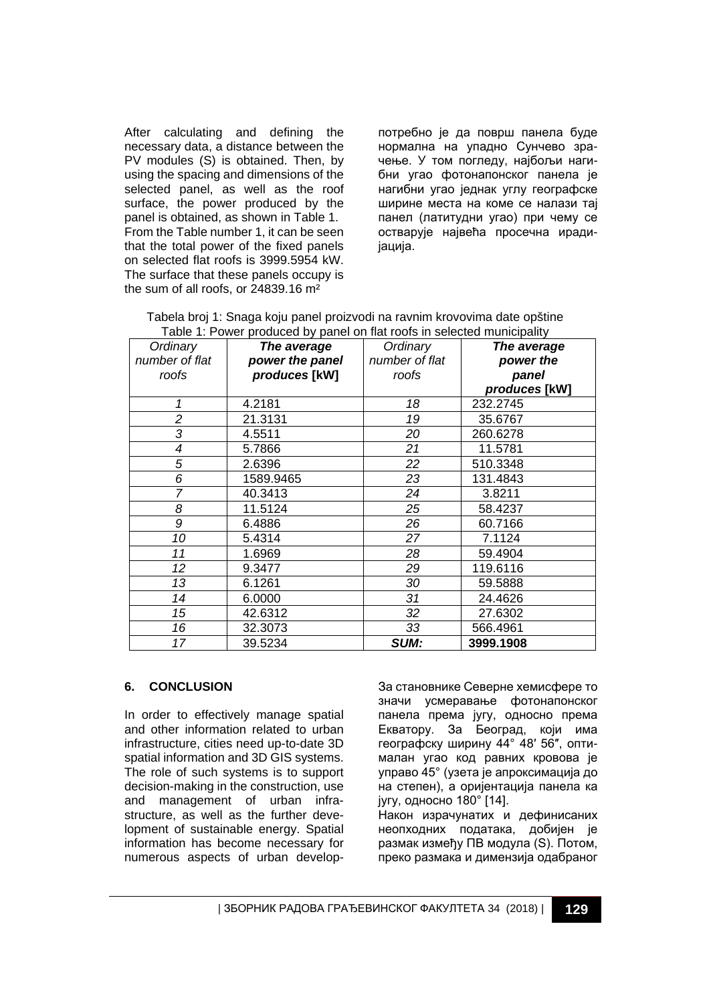After calculating and defining the necessary data, a distance between the PV modules (S) is obtained. Then, by using the spacing and dimensions of the selected panel, as well as the roof surface, the power produced by the panel is obtained, as shown in Table 1. From the Table number 1, it can be seen that the total power of the fixed panels on selected flat roofs is 3999.5954 kW. The surface that these panels occupy is the sum of all roofs, or 24839.16 m²

потребно је да површ панела буде нормална на упадно Сунчево зрачење. У том погледу, најбољи нагибни угао фотонапонског панела је нагибни угао једнак углу географске ширине места на коме се налази тај панел (латитудни угао) при чему се остварује највећа просечна ирадијација.

| Tabela broj 1: Snaga koju panel proizvodi na ravnim krovovima date opštine |  |
|----------------------------------------------------------------------------|--|
| Table 1: Power produced by panel on flat roofs in selected municipality    |  |

| Ordinary       | The average     | Ordinary       | The average   |
|----------------|-----------------|----------------|---------------|
| number of flat | power the panel | number of flat | power the     |
| roofs          | produces [kW]   | roofs          | panel         |
|                |                 |                | produces [kW] |
| 1              | 4.2181          | 18             | 232.2745      |
| $\overline{c}$ | 21.3131         | 19             | 35.6767       |
| 3              | 4.5511          | 20             | 260.6278      |
| 4              | 5.7866          | 21             | 11.5781       |
| 5              | 2.6396          | 22             | 510.3348      |
| 6              | 1589.9465       | 23             | 131.4843      |
| 7              | 40.3413         | 24             | 3.8211        |
| 8              | 11.5124         | 25             | 58.4237       |
| 9              | 6.4886          | 26             | 60.7166       |
| 10             | 5.4314          | 27             | 7.1124        |
| 11             | 1.6969          | 28             | 59.4904       |
| 12             | 9.3477          | 29             | 119.6116      |
| 13             | 6.1261          | 30             | 59.5888       |
| 14             | 6.0000          | 31             | 24.4626       |
| 15             | 42.6312         | 32             | 27.6302       |
| 16             | 32.3073         | 33             | 566.4961      |
| 17             | 39.5234         | <b>SUM:</b>    | 3999.1908     |

#### **6. CONCLUSION**

In order to effectively manage spatial and other information related to urban infrastructure, cities need up-to-date 3D spatial information and 3D GIS systems. The role of such systems is to support decision-making in the construction, use and management of urban infrastructure, as well as the further development of sustainable energy. Spatial information has become necessary for numerous aspects of urban develop-

За становнике Северне хемисфере то значи усмеравање фотонапонског панела према југу, односно према Екватору. За Београд, који има географску ширину 44° 48′ 56″, оптималан угао код равних кровова је управо 45° (узета је апроксимација до на степен), а оријентација панела ка југу, односно 180° [14].

Након израчунатих и дефинисаних неопходних података, добијен је размак између ПВ модула (S). Потом, преко размака и димензија одабраног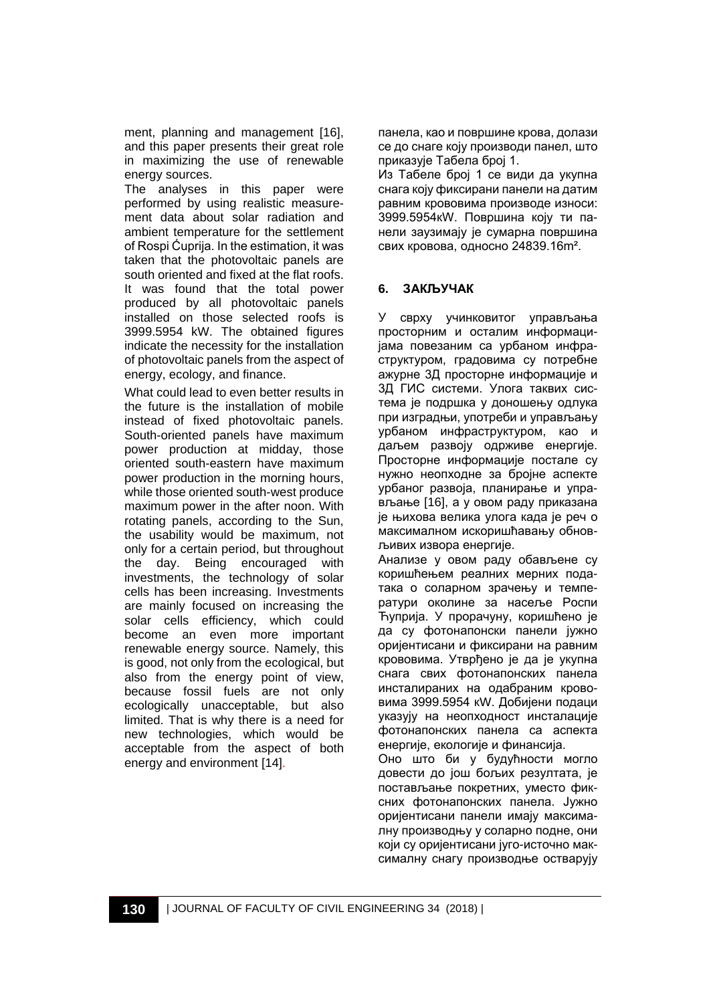ment, planning and management [16], and this paper presents their great role in maximizing the use of renewable energy sources.

The analyses in this paper were performed by using realistic measurement data about solar radiation and ambient temperature for the settlement of Rospi Ćuprija. In the estimation, it was taken that the photovoltaic panels are south oriented and fixed at the flat roofs. It was found that the total power produced by all photovoltaic panels installed on those selected roofs is 3999.5954 kW. The obtained figures indicate the necessity for the installation of photovoltaic panels from the aspect of energy, ecology, and finance.

What could lead to even better results in the future is the installation of mobile instead of fixed photovoltaic panels. South-oriented panels have maximum power production at midday, those oriented south-eastern have maximum power production in the morning hours, while those oriented south-west produce maximum power in the after noon. With rotating panels, according to the Sun, the usability would be maximum, not only for a certain period, but throughout the day. Being encouraged with investments, the technology of solar cells has been increasing. Investments are mainly focused on increasing the solar cells efficiency, which could become an even more important renewable energy source. Namely, this is good, not only from the ecological, but also from the energy point of view, because fossil fuels are not only ecologically unacceptable, but also limited. That is why there is a need for new technologies, which would be acceptable from the aspect of both energy and environment [14].

панела, као и површине крова, долази се до снаге коју производи панел, што приказује Табела број 1.

Из Tабеле број 1 се види да укупна снага коју фиксирани панели на датим равним крововима производе износи: 3999.5954кW. Површина коју ти панели заузимају је сумарна површина свих кровова, односно 24839.16m².

## **6. ЗАКЉУЧАК**

У сврху учинковитог управљања просторним и осталим информацијама повезаним са урбаном инфраструктуром, градовима су потребне ажурне 3Д просторне информације и 3Д ГИС системи. Улога таквих система је подршка у доношењу одлука при изградњи, употреби и управљању урбаном инфраструктуром, као и даљем развоју одрживе енергије. Просторне информације постале су нужно неопходне за бројне аспекте урбаног развоја, планирање и управљање [16], а у овом раду приказана је њихова велика улога када је реч о максималном искоришћавању обновљивих извора енергије.

Анализе у овом раду обављене су коришћењем реалних мерних података о соларном зрачењу и температури околине за насеље Роспи Ћуприја. У прорачуну, коришћено је да су фотонапонски панели јужно оријентисани и фиксирани на равним крововима. Утврђено је да је укупна снага свих фотонапонских панела инсталираних на одабраним крововима 3999.5954 кW. Добијени подаци указују на неопходност инсталације фотонапонских панела са аспекта енергије, екологије и финансија.

Оно што би у будућности могло довести до још бољих резултата, је постављање покретних, уместо фиксних фотонапонских панела. Јужно оријентисани панели имају максималну производњу у соларно подне, они који су оријентисани југо-источно максималну снагу производње остварују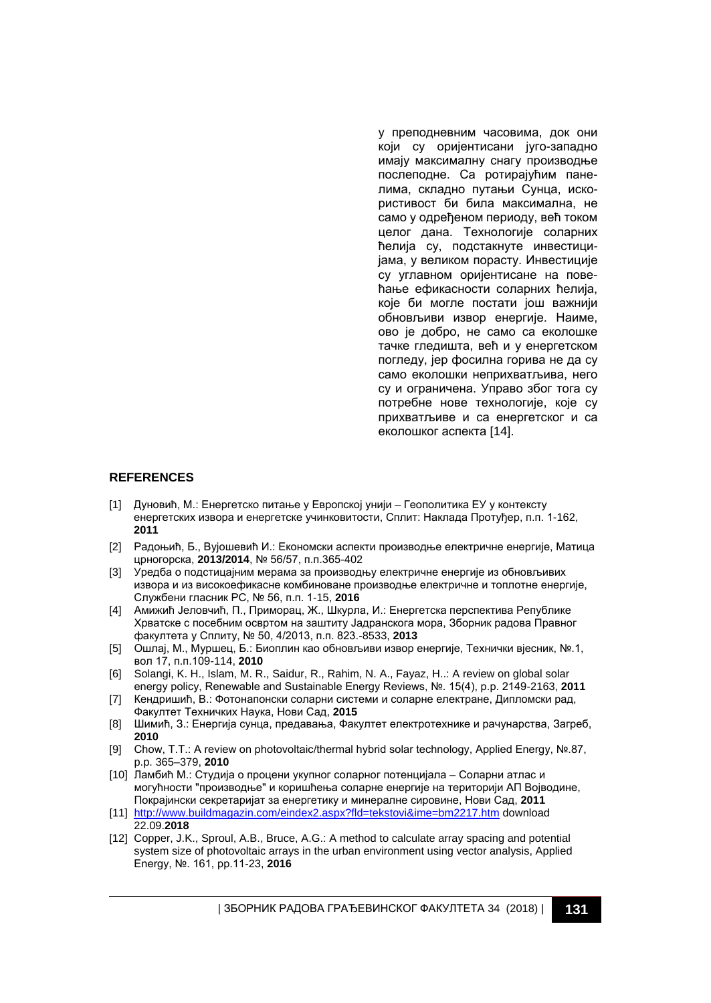у преподневним часовима, док они који су оријентисани југо-западно имају максималну снагу производње послеподне. Са ротирајућим панелима, складно путањи Сунца, искористивост би била максимална, не само у одређеном периоду, већ током целог дана. Технологије соларних ћелија су, подстакнуте инвестицијама, у великом порасту. Инвестиције су углавном оријентисане на повећање ефикасности соларних ћелија, које би могле постати још важнији обновљиви извор енергије. Наиме, ово је добро, не само са еколошке тачке гледишта, већ и у енергетском погледу, јер фосилна горива не да су само еколошки неприхватљива, него су и ограничена. Управо због тога су потребне нове технологије, које су прихватљиве и са енергетског и са еколошког аспекта [14].

#### **REFERENCES**

- [1] Дуновић, М.: Енергетско питање у Европској унији Геополитика ЕУ у контексту енергетских извора и енергетске учинковитости, Сплит: Наклада Протуђер, п.п. 1-162, **2011**
- [2] Радоњић, Б., Вујошевић И.: Економски аспекти производње електричне енергије, Матица црногорска, **2013/2014**, № 56/57, п.п.365-402
- [3] Уредба о подстицајним мерама за производњу електричне енергије из обновљивих извора и из високоефикасне комбиноване производње електричне и топлотне енергије, Службени гласник РС, № 56, п.п. 1-15, **2016**
- [4] Амижић Јеловчић, П., Приморац, Ж., Шкурла, И.: Енергетска перспектива Републике Хрватске с посебним освртом на заштиту Јадранскога мора, Зборник радова Правног факултета у Сплиту, № 50, 4/2013, п.п. 823.-8533, **2013**
- [5] Ошлај, М., Муршец, Б.: Биоплин као обновљиви извор енергије, Технички вјесник, №.1, вол 17, п.п.109-114, **2010**
- [6] Solangi, K. H., Islam, M. R., Saidur, R., Rahim, N. A., Fayaz, H..: A review on global solar energy policy, Renewable and Sustainable Energy Reviews, №. 15(4), p.p. 2149-2163, **2011**
- [7] Кендришић, В.: Фотонапонски соларни системи и соларне електране, Дипломски рад, Факултет Техничких Наука, Нови Сад, **2015**
- [8] Шимић, З.: Енергија сунца, предавања, Факултет електротехнике и рачунарства, Загреб, **2010**
- [9] Chow, T.T.: A review on photovoltaic/thermal hybrid solar technology, Applied Energy, №.87, p.p. 365–379, **2010**
- [10] Ламбић М.: Студија о процени укупног соларног потенцијала Соларни атлас и могућности "производње" и коришћења соларне енергије на територији АП Војводине, Покрајински секретаријат за енергетику и минералне сировине, Нови Сад, **2011**
- [11] <http://www.buildmagazin.com/eindex2.aspx?fld=tekstovi&ime=bm2217.htm> download 22.09.**2018**
- [12] Copper, J.K., Sproul, A.B., Bruce, A.G.: A method to calculate array spacing and potential system size of photovoltaic arrays in the urban environment using vector analysis, Applied Energy, №. 161, pp.11-23, **2016**